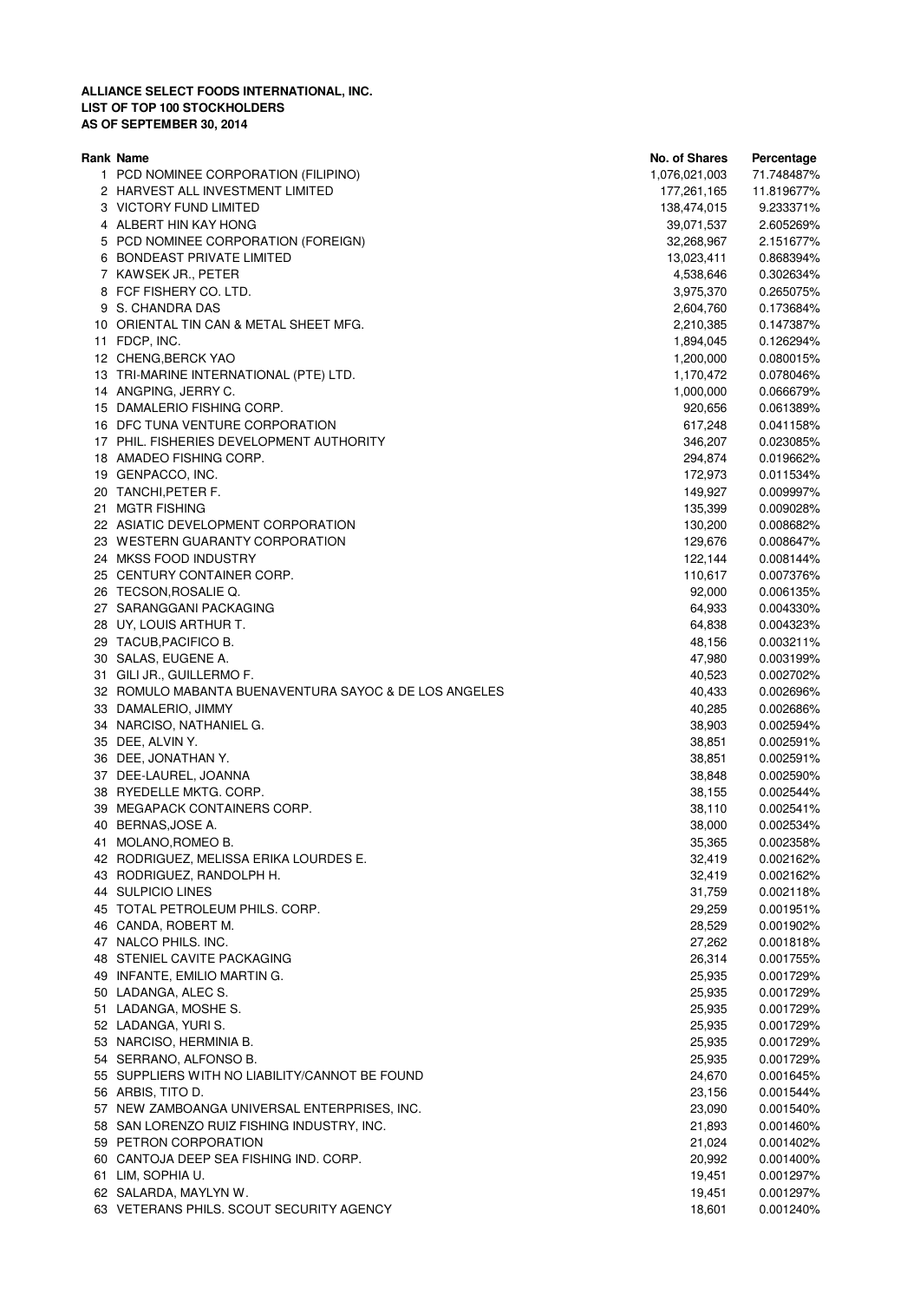|    | Rank Name                                             | <b>No. of Shares</b> | Percentage |
|----|-------------------------------------------------------|----------------------|------------|
|    | 1 PCD NOMINEE CORPORATION (FILIPINO)                  | 1,076,021,003        | 71.748487% |
|    | 2 HARVEST ALL INVESTMENT LIMITED                      | 177,261,165          | 11.819677% |
|    | 3 VICTORY FUND LIMITED                                | 138,474,015          | 9.233371%  |
|    | 4 ALBERT HIN KAY HONG                                 | 39,071,537           | 2.605269%  |
|    | 5 PCD NOMINEE CORPORATION (FOREIGN)                   | 32,268,967           | 2.151677%  |
|    | 6 BONDEAST PRIVATE LIMITED                            | 13,023,411           | 0.868394%  |
|    | 7 KAWSEK JR., PETER                                   | 4,538,646            | 0.302634%  |
|    | 8 FCF FISHERY CO. LTD.                                | 3,975,370            | 0.265075%  |
|    | 9 S. CHANDRA DAS                                      | 2,604,760            | 0.173684%  |
|    | 10 ORIENTAL TIN CAN & METAL SHEET MFG.                | 2,210,385            | 0.147387%  |
|    | 11 FDCP, INC.                                         | 1,894,045            | 0.126294%  |
|    | 12 CHENG, BERCK YAO                                   | 1,200,000            | 0.080015%  |
|    | 13 TRI-MARINE INTERNATIONAL (PTE) LTD.                | 1,170,472            | 0.078046%  |
|    | 14 ANGPING, JERRY C.                                  | 1,000,000            |            |
|    |                                                       |                      | 0.066679%  |
|    | 15 DAMALERIO FISHING CORP.                            | 920,656              | 0.061389%  |
|    | 16 DFC TUNA VENTURE CORPORATION                       | 617,248              | 0.041158%  |
|    | 17 PHIL. FISHERIES DEVELOPMENT AUTHORITY              | 346,207              | 0.023085%  |
|    | 18 AMADEO FISHING CORP.                               | 294,874              | 0.019662%  |
|    | 19 GENPACCO, INC.                                     | 172,973              | 0.011534%  |
|    | 20 TANCHI, PETER F.                                   | 149,927              | 0.009997%  |
|    | 21 MGTR FISHING                                       | 135,399              | 0.009028%  |
|    | 22 ASIATIC DEVELOPMENT CORPORATION                    | 130,200              | 0.008682%  |
|    | 23 WESTERN GUARANTY CORPORATION                       | 129,676              | 0.008647%  |
|    | 24 MKSS FOOD INDUSTRY                                 | 122,144              | 0.008144%  |
|    | 25 CENTURY CONTAINER CORP.                            | 110,617              | 0.007376%  |
|    | 26 TECSON, ROSALIE Q.                                 | 92,000               | 0.006135%  |
|    | 27 SARANGGANI PACKAGING                               | 64,933               | 0.004330%  |
|    | 28 UY, LOUIS ARTHUR T.                                | 64,838               | 0.004323%  |
|    | 29 TACUB, PACIFICO B.                                 | 48,156               | 0.003211%  |
|    | 30 SALAS, EUGENE A.                                   | 47,980               | 0.003199%  |
|    | 31 GILI JR., GUILLERMO F.                             | 40,523               | 0.002702%  |
|    | 32 ROMULO MABANTA BUENAVENTURA SAYOC & DE LOS ANGELES | 40,433               | 0.002696%  |
|    | 33 DAMALERIO, JIMMY                                   | 40,285               | 0.002686%  |
|    | 34 NARCISO, NATHANIEL G.                              | 38,903               | 0.002594%  |
|    | 35 DEE, ALVIN Y.                                      | 38,851               | 0.002591%  |
|    | 36 DEE, JONATHAN Y.                                   | 38,851               | 0.002591%  |
|    | 37 DEE-LAUREL, JOANNA                                 | 38,848               | 0.002590%  |
|    | 38 RYEDELLE MKTG. CORP.                               | 38,155               | 0.002544%  |
|    | 39 MEGAPACK CONTAINERS CORP.                          | 38,110               | 0.002541%  |
|    | 40 BERNAS, JOSE A.                                    | 38,000               | 0.002534%  |
|    | MOLANO, ROMEO B.                                      | 35,365               | 0.002358%  |
| 41 | 42 RODRIGUEZ, MELISSA ERIKA LOURDES E.                | 32,419               | 0.002162%  |
|    |                                                       | 32,419               |            |
|    | 43 RODRIGUEZ, RANDOLPH H.                             |                      | 0.002162%  |
|    | 44 SULPICIO LINES                                     | 31,759               | 0.002118%  |
|    | 45 TOTAL PETROLEUM PHILS. CORP.                       | 29,259               | 0.001951%  |
|    | 46 CANDA, ROBERT M.                                   | 28,529               | 0.001902%  |
|    | 47 NALCO PHILS. INC.                                  | 27,262               | 0.001818%  |
|    | 48 STENIEL CAVITE PACKAGING                           | 26,314               | 0.001755%  |
|    | 49 INFANTE, EMILIO MARTIN G.                          | 25,935               | 0.001729%  |
|    | 50 LADANGA, ALEC S.                                   | 25,935               | 0.001729%  |
|    | 51 LADANGA, MOSHE S.                                  | 25,935               | 0.001729%  |
|    | 52 LADANGA, YURI S.                                   | 25,935               | 0.001729%  |
|    | 53 NARCISO, HERMINIA B.                               | 25,935               | 0.001729%  |
|    | 54 SERRANO, ALFONSO B.                                | 25,935               | 0.001729%  |
|    | 55 SUPPLIERS WITH NO LIABILITY/CANNOT BE FOUND        | 24,670               | 0.001645%  |
|    | 56 ARBIS, TITO D.                                     | 23,156               | 0.001544%  |
|    | 57 NEW ZAMBOANGA UNIVERSAL ENTERPRISES, INC.          | 23,090               | 0.001540%  |
|    | 58 SAN LORENZO RUIZ FISHING INDUSTRY, INC.            | 21,893               | 0.001460%  |
|    | 59 PETRON CORPORATION                                 | 21,024               | 0.001402%  |
|    | 60 CANTOJA DEEP SEA FISHING IND. CORP.                | 20,992               | 0.001400%  |
|    | 61 LIM, SOPHIA U.                                     | 19,451               | 0.001297%  |
|    | 62 SALARDA, MAYLYN W.                                 | 19,451               | 0.001297%  |
|    | 63 VETERANS PHILS. SCOUT SECURITY AGENCY              | 18,601               | 0.001240%  |
|    |                                                       |                      |            |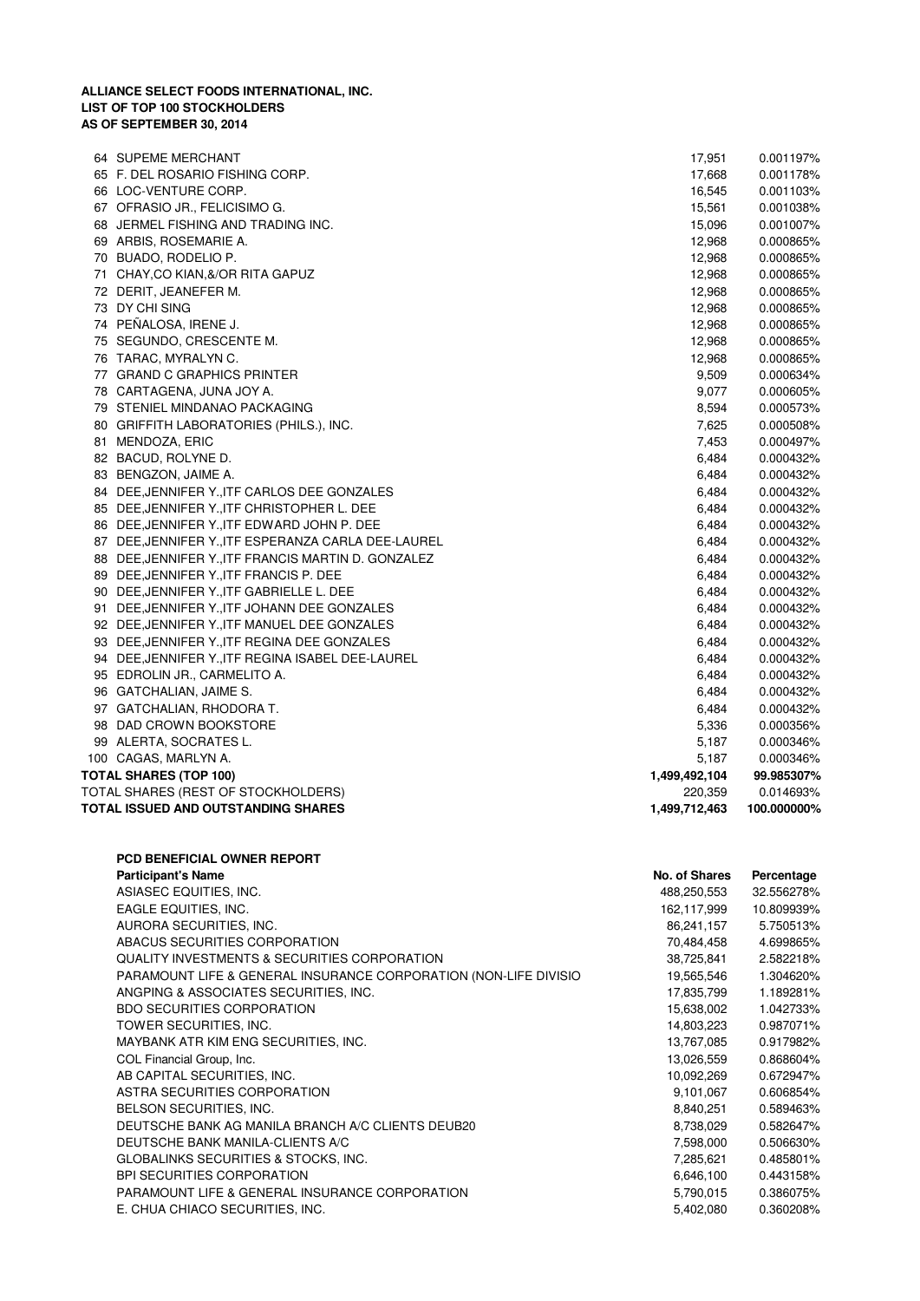|    | 64 SUPEME MERCHANT                                  | 17,951        | 0.001197%   |
|----|-----------------------------------------------------|---------------|-------------|
|    | 65 F. DEL ROSARIO FISHING CORP.                     | 17,668        | 0.001178%   |
|    | 66 LOC-VENTURE CORP.                                | 16,545        | 0.001103%   |
|    | 67 OFRASIO JR., FELICISIMO G.                       | 15,561        | 0.001038%   |
|    | 68 JERMEL FISHING AND TRADING INC.                  | 15,096        | 0.001007%   |
|    | 69 ARBIS, ROSEMARIE A.                              | 12,968        | 0.000865%   |
|    | 70 BUADO, RODELIO P.                                | 12,968        | 0.000865%   |
| 71 | CHAY,CO KIAN,&/OR RITA GAPUZ                        | 12,968        | 0.000865%   |
|    | 72 DERIT, JEANEFER M.                               | 12,968        | 0.000865%   |
|    | 73 DY CHI SING                                      | 12,968        | 0.000865%   |
|    | 74 PEÑALOSA, IRENE J.                               | 12,968        | 0.000865%   |
|    | 75 SEGUNDO, CRESCENTE M.                            | 12,968        | 0.000865%   |
|    | 76 TARAC, MYRALYN C.                                | 12,968        | 0.000865%   |
|    | 77 GRAND C GRAPHICS PRINTER                         | 9,509         | 0.000634%   |
|    | 78 CARTAGENA, JUNA JOY A.                           | 9,077         | 0.000605%   |
|    | 79 STENIEL MINDANAO PACKAGING                       | 8,594         | 0.000573%   |
|    | 80 GRIFFITH LABORATORIES (PHILS.), INC.             | 7,625         | 0.000508%   |
|    | 81 MENDOZA, ERIC                                    | 7,453         | 0.000497%   |
|    | 82 BACUD, ROLYNE D.                                 | 6,484         | 0.000432%   |
|    | 83 BENGZON, JAIME A.                                | 6,484         | 0.000432%   |
|    | 84 DEE, JENNIFER Y., ITF CARLOS DEE GONZALES        | 6,484         | 0.000432%   |
|    | 85 DEE, JENNIFER Y., ITF CHRISTOPHER L. DEE         | 6,484         | 0.000432%   |
|    | 86 DEE, JENNIFER Y., ITF EDWARD JOHN P. DEE         | 6,484         | 0.000432%   |
|    | 87 DEE, JENNIFER Y., ITF ESPERANZA CARLA DEE-LAUREL | 6,484         | 0.000432%   |
|    | 88 DEE, JENNIFER Y., ITF FRANCIS MARTIN D. GONZALEZ | 6,484         | 0.000432%   |
|    | 89 DEE, JENNIFER Y., ITF FRANCIS P. DEE             | 6,484         | 0.000432%   |
|    | 90 DEE, JENNIFER Y., ITF GABRIELLE L. DEE           | 6,484         | 0.000432%   |
|    | 91 DEE, JENNIFER Y., ITF JOHANN DEE GONZALES        | 6,484         | 0.000432%   |
|    | 92 DEE, JENNIFER Y., ITF MANUEL DEE GONZALES        | 6,484         | 0.000432%   |
|    | 93 DEE, JENNIFER Y., ITF REGINA DEE GONZALES        | 6,484         | 0.000432%   |
|    | 94 DEE, JENNIFER Y., ITF REGINA ISABEL DEE-LAUREL   | 6,484         | 0.000432%   |
|    | 95 EDROLIN JR., CARMELITO A.                        | 6,484         | 0.000432%   |
|    | 96 GATCHALIAN, JAIME S.                             | 6,484         | 0.000432%   |
|    | 97 GATCHALIAN, RHODORA T.                           | 6,484         | 0.000432%   |
|    | 98 DAD CROWN BOOKSTORE                              | 5,336         | 0.000356%   |
|    | 99 ALERTA, SOCRATES L.                              | 5,187         | 0.000346%   |
|    | 100 CAGAS, MARLYN A.                                | 5,187         | 0.000346%   |
|    | TOTAL SHARES (TOP 100)                              | 1,499,492,104 | 99.985307%  |
|    | TOTAL SHARES (REST OF STOCKHOLDERS)                 | 220,359       | 0.014693%   |
|    | TOTAL ISSUED AND OUTSTANDING SHARES                 | 1,499,712,463 | 100.000000% |

| <b>PCD BENEFICIAL OWNER REPORT</b>                               |               |            |
|------------------------------------------------------------------|---------------|------------|
| <b>Participant's Name</b>                                        | No. of Shares | Percentage |
| ASIASEC EQUITIES, INC.                                           | 488,250,553   | 32.556278% |
| EAGLE EQUITIES, INC.                                             | 162,117,999   | 10.809939% |
| AURORA SECURITIES, INC.                                          | 86,241,157    | 5.750513%  |
| ABACUS SECURITIES CORPORATION                                    | 70,484,458    | 4.699865%  |
| QUALITY INVESTMENTS & SECURITIES CORPORATION                     | 38,725,841    | 2.582218%  |
| PARAMOUNT LIFE & GENERAL INSURANCE CORPORATION (NON-LIFE DIVISIO | 19,565,546    | 1.304620%  |
| ANGPING & ASSOCIATES SECURITIES, INC.                            | 17,835,799    | 1.189281%  |
| <b>BDO SECURITIES CORPORATION</b>                                | 15,638,002    | 1.042733%  |
| TOWER SECURITIES, INC.                                           | 14,803,223    | 0.987071%  |
| MAYBANK ATR KIM ENG SECURITIES, INC.                             | 13,767,085    | 0.917982%  |
| COL Financial Group, Inc.                                        | 13,026,559    | 0.868604%  |
| AB CAPITAL SECURITIES, INC.                                      | 10,092,269    | 0.672947%  |
| ASTRA SECURITIES CORPORATION                                     | 9,101,067     | 0.606854%  |
| BELSON SECURITIES, INC.                                          | 8,840,251     | 0.589463%  |
| DEUTSCHE BANK AG MANILA BRANCH A/C CLIENTS DEUB20                | 8,738,029     | 0.582647%  |
| DEUTSCHE BANK MANILA-CLIENTS A/C                                 | 7,598,000     | 0.506630%  |
| GLOBALINKS SECURITIES & STOCKS, INC.                             | 7,285,621     | 0.485801%  |
| <b>BPI SECURITIES CORPORATION</b>                                | 6,646,100     | 0.443158%  |
| PARAMOUNT LIFE & GENERAL INSURANCE CORPORATION                   | 5,790,015     | 0.386075%  |
| E. CHUA CHIACO SECURITIES, INC.                                  | 5,402,080     | 0.360208%  |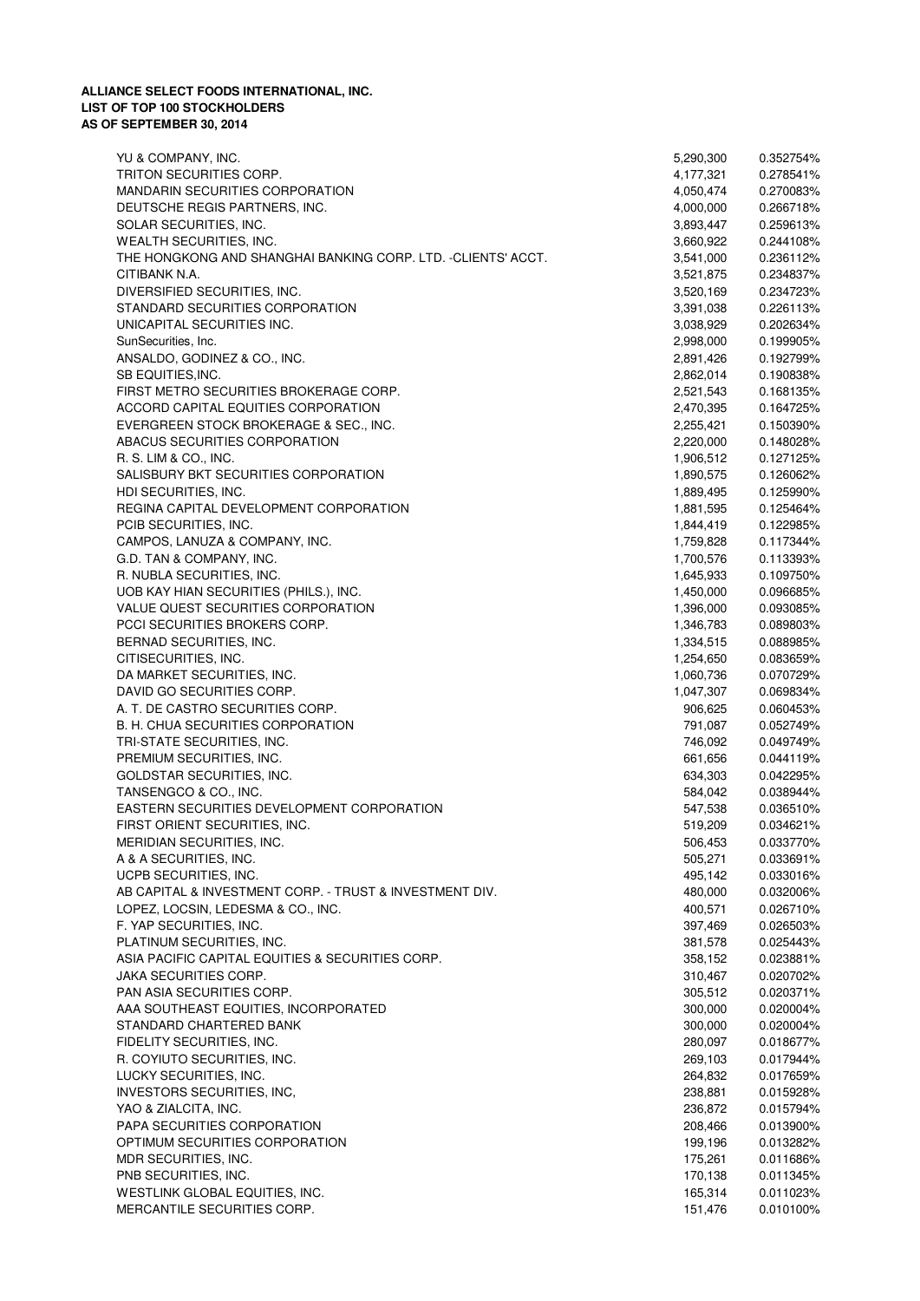| YU & COMPANY, INC.                                           | 5,290,300              | 0.352754% |
|--------------------------------------------------------------|------------------------|-----------|
| TRITON SECURITIES CORP.                                      | 4,177,321              | 0.278541% |
| MANDARIN SECURITIES CORPORATION                              | 4,050,474              | 0.270083% |
| DEUTSCHE REGIS PARTNERS, INC.                                | 4,000,000              | 0.266718% |
| SOLAR SECURITIES, INC.                                       | 3,893,447              | 0.259613% |
| WEALTH SECURITIES, INC.                                      | 3,660,922              | 0.244108% |
| THE HONGKONG AND SHANGHAI BANKING CORP. LTD. -CLIENTS' ACCT. | 3,541,000              | 0.236112% |
| CITIBANK N.A.                                                | 3,521,875              | 0.234837% |
| DIVERSIFIED SECURITIES, INC.                                 | 3,520,169              | 0.234723% |
| STANDARD SECURITIES CORPORATION                              | 3,391,038              | 0.226113% |
| UNICAPITAL SECURITIES INC.                                   | 3,038,929              | 0.202634% |
| SunSecurities, Inc.                                          | 2,998,000              | 0.199905% |
| ANSALDO, GODINEZ & CO., INC.                                 | 2,891,426              | 0.192799% |
| SB EQUITIES, INC.                                            | 2,862,014              | 0.190838% |
| FIRST METRO SECURITIES BROKERAGE CORP.                       | 2,521,543              | 0.168135% |
| ACCORD CAPITAL EQUITIES CORPORATION                          | 2,470,395              | 0.164725% |
| EVERGREEN STOCK BROKERAGE & SEC., INC.                       | 2,255,421              | 0.150390% |
| ABACUS SECURITIES CORPORATION                                | 2,220,000              | 0.148028% |
| R. S. LIM & CO., INC.                                        | 1,906,512              | 0.127125% |
| SALISBURY BKT SECURITIES CORPORATION                         | 1,890,575              | 0.126062% |
| HDI SECURITIES, INC.                                         | 1,889,495              | 0.125990% |
| REGINA CAPITAL DEVELOPMENT CORPORATION                       | 1,881,595              | 0.125464% |
| PCIB SECURITIES, INC.                                        | 1,844,419              | 0.122985% |
| CAMPOS, LANUZA & COMPANY, INC.                               | 1,759,828              | 0.117344% |
| G.D. TAN & COMPANY, INC.                                     |                        | 0.113393% |
| R. NUBLA SECURITIES, INC.                                    | 1,700,576<br>1,645,933 | 0.109750% |
|                                                              | 1,450,000              |           |
| UOB KAY HIAN SECURITIES (PHILS.), INC.                       |                        | 0.096685% |
| VALUE QUEST SECURITIES CORPORATION                           | 1,396,000              | 0.093085% |
| PCCI SECURITIES BROKERS CORP.                                | 1,346,783              | 0.089803% |
| BERNAD SECURITIES, INC.                                      | 1,334,515              | 0.088985% |
| CITISECURITIES, INC.                                         | 1,254,650              | 0.083659% |
| DA MARKET SECURITIES, INC.                                   | 1,060,736              | 0.070729% |
| DAVID GO SECURITIES CORP.                                    | 1,047,307              | 0.069834% |
| A. T. DE CASTRO SECURITIES CORP.                             | 906,625                | 0.060453% |
| B. H. CHUA SECURITIES CORPORATION                            | 791,087                | 0.052749% |
| TRI-STATE SECURITIES, INC.                                   | 746,092                | 0.049749% |
| PREMIUM SECURITIES, INC.                                     | 661,656                | 0.044119% |
| GOLDSTAR SECURITIES, INC.                                    | 634,303                | 0.042295% |
| TANSENGCO & CO., INC.                                        | 584,042                | 0.038944% |
| EASTERN SECURITIES DEVELOPMENT CORPORATION                   | 547,538                | 0.036510% |
| FIRST ORIENT SECURITIES, INC.                                | 519,209                | 0.034621% |
| MERIDIAN SECURITIES, INC.                                    | 506,453                | 0.033770% |
| A & A SECURITIES, INC.                                       | 505,271                | 0.033691% |
| UCPB SECURITIES, INC.                                        | 495,142                | 0.033016% |
| AB CAPITAL & INVESTMENT CORP. - TRUST & INVESTMENT DIV.      | 480,000                | 0.032006% |
| LOPEZ, LOCSIN, LEDESMA & CO., INC.                           | 400,571                | 0.026710% |
| F. YAP SECURITIES, INC.                                      | 397,469                | 0.026503% |
| PLATINUM SECURITIES, INC.                                    | 381,578                | 0.025443% |
| ASIA PACIFIC CAPITAL EQUITIES & SECURITIES CORP.             | 358,152                | 0.023881% |
| JAKA SECURITIES CORP.                                        | 310,467                | 0.020702% |
| PAN ASIA SECURITIES CORP.                                    | 305,512                | 0.020371% |
| AAA SOUTHEAST EQUITIES, INCORPORATED                         | 300,000                | 0.020004% |
| STANDARD CHARTERED BANK                                      | 300,000                | 0.020004% |
| FIDELITY SECURITIES, INC.                                    | 280,097                | 0.018677% |
| R. COYIUTO SECURITIES, INC.                                  | 269,103                | 0.017944% |
| LUCKY SECURITIES, INC.                                       | 264,832                | 0.017659% |
| INVESTORS SECURITIES, INC.                                   | 238,881                | 0.015928% |
| YAO & ZIALCITA, INC.                                         | 236,872                | 0.015794% |
| PAPA SECURITIES CORPORATION                                  | 208,466                | 0.013900% |
| OPTIMUM SECURITIES CORPORATION                               | 199,196                | 0.013282% |
| MDR SECURITIES, INC.                                         | 175,261                | 0.011686% |
| PNB SECURITIES, INC.                                         | 170,138                | 0.011345% |
| WESTLINK GLOBAL EQUITIES, INC.                               | 165,314                | 0.011023% |
| MERCANTILE SECURITIES CORP.                                  | 151,476                | 0.010100% |
|                                                              |                        |           |